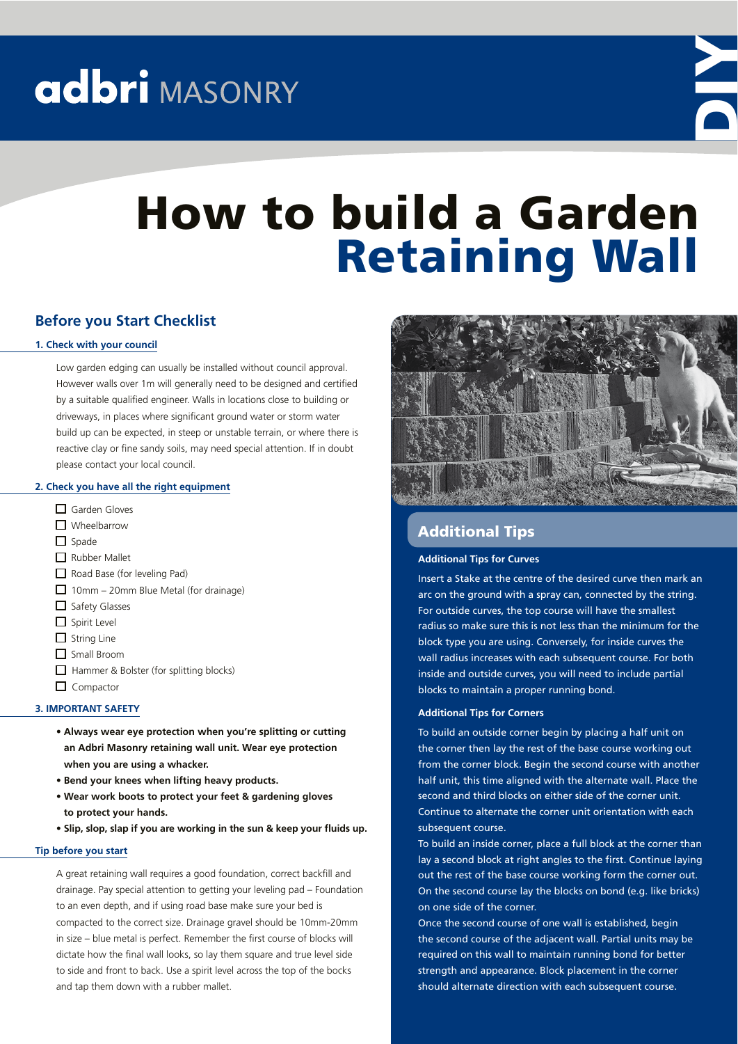# adbri MASONRY



# How to build a Garden Retaining Wall

## **Before you Start Checklist**

## **1. Check with your council**

Low garden edging can usually be installed without council approval. However walls over 1m will generally need to be designed and certified by a suitable qualified engineer. Walls in locations close to building or driveways, in places where significant ground water or storm water build up can be expected, in steep or unstable terrain, or where there is reactive clay or fine sandy soils, may need special attention. If in doubt please contact your local council.

## **2. Check you have all the right equipment**

- □ Garden Gloves **N** Wheelbarrow  $\Box$  Spade Rubber Mallet Road Base (for leveling Pad)  $\Box$  10mm – 20mm Blue Metal (for drainage)  $\Box$  Safety Glasses  $\Box$  Spirit Level  $\Box$  String Line Small Broom  $\Box$  Hammer & Bolster (for splitting blocks)
- $\Box$  Compactor

### **3. IMPORTANT SAFETY**

- **s !LWAYS WEAR EYE PROTECTION WHEN YOURE SPLITTING OR CUTTING an Adbri Masonry retaining wall unit. Wear eye protection when you are using a whacker.**
- **s "END YOUR KNEES WHEN LIFTING HEAVY PRODUCTS**
- **Wear work boots to protect your feet & gardening gloves to protect your hands.**
- **Slip, slop, slap** if you are working in the sun & keep your fluids up.

#### **Tip before you start**

A great retaining wall requires a good foundation, correct backfill and drainage. Pay special attention to getting your leveling pad – Foundation to an even depth, and if using road base make sure your bed is compacted to the correct size. Drainage gravel should be 10mm-20mm in size – blue metal is perfect. Remember the first course of blocks will dictate how the final wall looks, so lay them square and true level side to side and front to back. Use a spirit level across the top of the bocks and tap them down with a rubber mallet.



# Additional Tips

### **Additional Tips for Curves**

Insert a Stake at the centre of the desired curve then mark an arc on the ground with a spray can, connected by the string. For outside curves, the top course will have the smallest radius so make sure this is not less than the minimum for the block type you are using. Conversely, for inside curves the wall radius increases with each subsequent course. For both inside and outside curves, you will need to include partial blocks to maintain a proper running bond.

#### **Additional Tips for Corners**

To build an outside corner begin by placing a half unit on the corner then lay the rest of the base course working out from the corner block. Begin the second course with another half unit, this time aligned with the alternate wall. Place the second and third blocks on either side of the corner unit. Continue to alternate the corner unit orientation with each subsequent course.

To build an inside corner, place a full block at the corner than lay a second block at right angles to the first. Continue laying out the rest of the base course working form the corner out. On the second course lay the blocks on bond (e.g. like bricks) on one side of the corner.

Once the second course of one wall is established, begin the second course of the adjacent wall. Partial units may be required on this wall to maintain running bond for better strength and appearance. Block placement in the corner should alternate direction with each subsequent course.